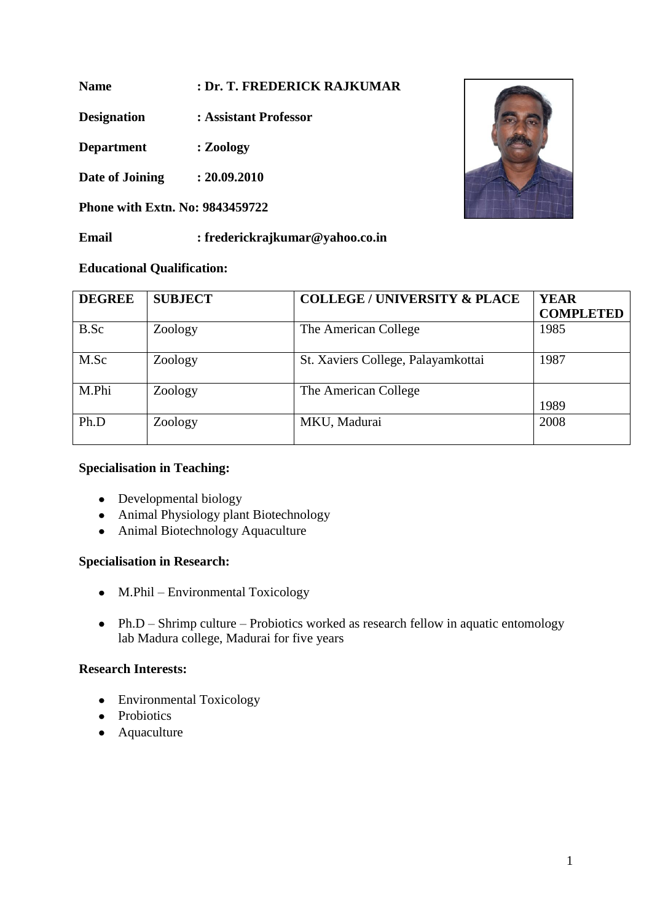**Name : Dr. T. FREDERICK RAJKUMAR**

**Designation : Assistant Professor**

**Department : Zoology**

**Date of Joining : 20.09.2010**

**Phone with Extn. No: 9843459722**

**Email : frederickrajkumar@yahoo.co.in**

# **Educational Qualification:**

| <b>DEGREE</b> | <b>SUBJECT</b> | <b>COLLEGE / UNIVERSITY &amp; PLACE</b> | <b>YEAR</b><br><b>COMPLETED</b> |
|---------------|----------------|-----------------------------------------|---------------------------------|
| B.Sc          | Zoology        | The American College                    | 1985                            |
| M.Sc          | Zoology        | St. Xaviers College, Palayamkottai      | 1987                            |
| M.Phi         | Zoology        | The American College                    | 1989                            |
| Ph.D          | Zoology        | MKU, Madurai                            | 2008                            |

### **Specialisation in Teaching:**

- Developmental biology
- Animal Physiology plant Biotechnology
- Animal Biotechnology Aquaculture

### **Specialisation in Research:**

- M.Phil Environmental Toxicology
- Ph.D Shrimp culture Probiotics worked as research fellow in aquatic entomology lab Madura college, Madurai for five years

# **Research Interests:**

- Environmental Toxicology
- Probiotics
- Aquaculture